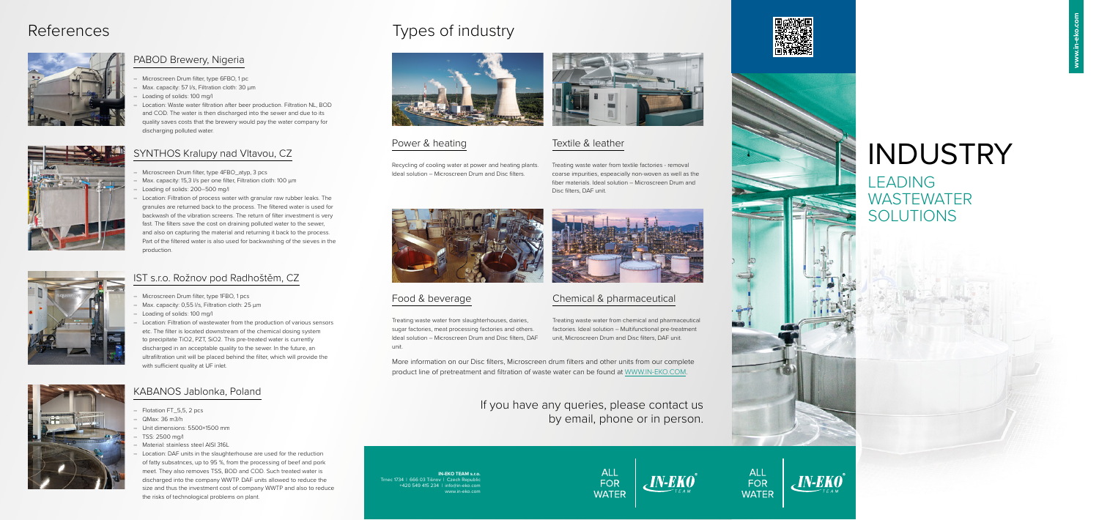**IN-EKO TEAM s.r.o.**  Trnec 1734 | 666 03 Tišnov | Czech Republic +420 549 415 234 | info@in-eko.com www.in-eko.com



More information on our Disc filters, Microscreen drum filters and other units from our complete product line of pretreatment and filtration of waste water can be found at WWW.IN-EKO.COM.

# INDUSTRY

LEADING WASTEWATER SOLUTIONS

If you have any queries, please contact us by email, phone or in person.

ALL

FOR

**WATER** 





ALL

FOR

**WATER** 

 $_{c}$ IN-EKO $^{\circ}$ 





#### PABOD Brewery, Nigeria

- Microscreen Drum filter, type 6FBO, 1 pc
- Max. capacity: 57 I/s, Filtration cloth: 30  $\mu$ m
- Loading of solids: 100 mg/l
- Location: Waste water filtration after beer production. Filtration NL, BOD and COD. The water is then discharged into the sewer and due to its quality saves costs that the brewery would pay the water company for discharging polluted water.

### Power & heating

Recycling of cooling water at power and heating plants. Ideal solution – Microscreen Drum and Disc filters.



#### Food & beverage

Treating waste water from slaughterhouses, dairies, sugar factories, meat processing factories and others. Ideal solution – Microscreen Drum and Disc filters, DAF unit.

#### Chemical & pharmaceutical

Treating waste water from chemical and pharmaceutical factories. Ideal solution – Multifunctional pre-treatment unit, Microscreen Drum and Disc filters, DAF unit.

### Textile & leather

Treating waste water from textile factories - removal coarse impurities, espeacially non-woven as well as the fiber materials. Ideal solution – Microscreen Drum and Disc filters, DAF unit.



#### IST s.r.o. Rožnov pod Radhoštěm, CZ

- Microscreen Drum filter, type 1FBO, 1 pcs
- Max. capacity: 0,55 l/s, Filtration cloth: 25 µm
- Loading of solids: 100 mg/l
- Location: Filtration of wastewater from the production of various sensors etc. The filter is located downstream of the chemical dosing system to precipitate TiO2, PZT, SiO2. This pre-treated water is currently discharged in an acceptable quality to the sewer. In the future, an ultrafiltration unit will be placed behind the filter, which will provide the with sufficient quality at UF inlet.



### KABANOS Jablonka, Poland

- Flotation FT\_5,5, 2 pcs
- QMax: 36 m3/h
- Unit dimensions: 5500×1500 mm
- TSS: 2500 mg/l
- Material: stainless steel AISI 316L
- Location: DAF units in the slaughterhouse are used for the reduction of fatty subsatnces, up to 95 %, from the processing of beef and pork meet. They also removes TSS, BOD and COD. Such treated water is discharged into the company WWTP. DAF units allowed to reduce the size and thus the investment cost of company WWTP and also to reduce the risks of technological problems on plant.

# References Types of industry



#### SYNTHOS Kralupy nad Vltavou, CZ

- Microscreen Drum filter, type 4FBO\_atyp, 3 pcs
- Max. capacity: 15,3 l/s per one filter, Filtration cloth: 100 µm
- Loading of solids: 200–500 mg/l
- Location: Filtration of process water with granular raw rubber leaks. The granules are returned back to the process. The filtered water is used for backwash of the vibration screens. The return of filter investment is very fast. The filters save the cost on draining polluted water to the sewer, and also on capturing the material and returning it back to the process. Part of the filtered water is also used for backwashing of the sieves in the production.